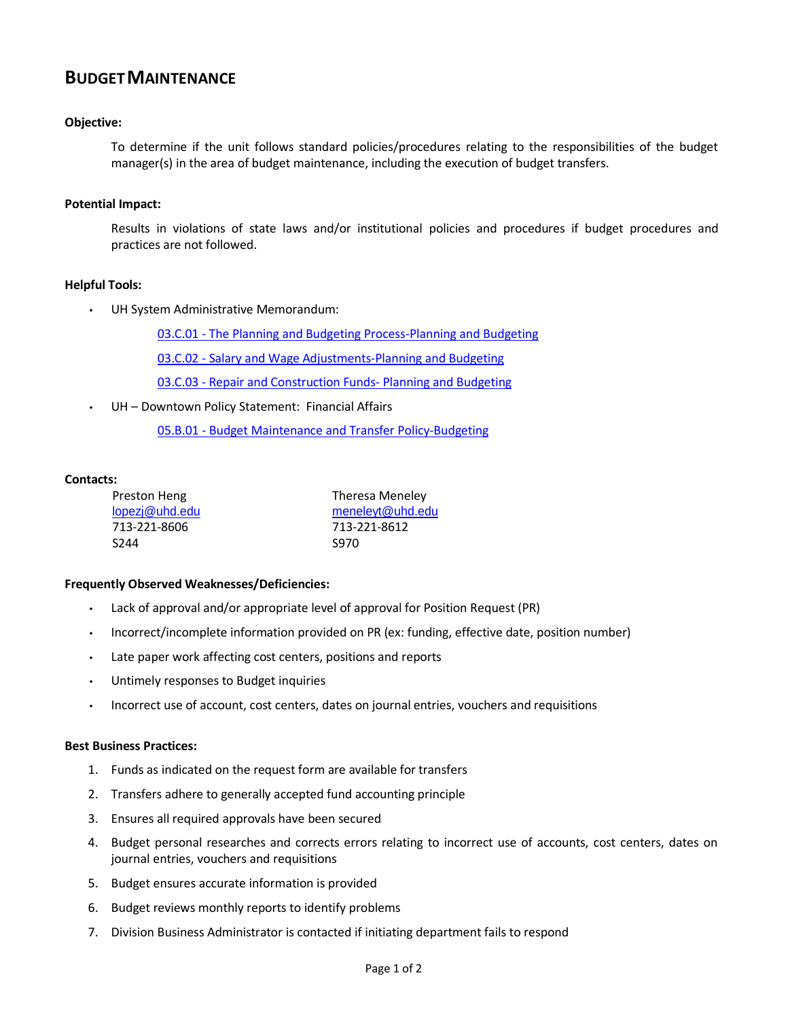# **BUDGETMAINTENANCE**

## **Objective:**

To determine if the unit follows standard policies/procedures relating to the responsibilities of the budget manager(s) in the area of budget maintenance, including the execution of budget transfers.

#### **Potential Impact:**

Results in violations of state laws and/or institutional policies and procedures if budget procedures and practices are not followed.

## **Helpful Tools:**

UH System Administrative Memorandum:

03.C.01 - The Planning and Budgeting [Process-Planning](http://www.uhsa.uh.edu/sam/3FicsalAffairs/3C1.pdf) and Budgeting

03.C.02 - Salary and Wage [Adjustments-Planning](http://www.uhsa.uh.edu/sam/3FicsalAffairs/3C2.pdf) and Budgeting

03.C.03 - Repair and [Construction](http://www.uhsa.uh.edu/sam/3FicsalAffairs/3C3.pdf) Funds- Planning and Budgeting

UH - Downtown Policy Statement: Financial Affairs

05.B.01 - Budget [Maintenance and](http://www.uhd.edu/about/hr/PS05B01.pdf) Transfer Policy-Budgeting

#### **Contacts:**

| Preston Heng     | Theresa Meneley  |
|------------------|------------------|
| lopezj@uhd.edu   | meneleyt@uhd.edu |
| 713-221-8606     | 713-221-8612     |
| S <sub>244</sub> | S970             |

#### **Frequently Observed Weaknesses/Deficiencies:**

- Lack of approval and/or appropriate level of approval for Position Request (PR)
- Incorrect/incomplete information provided on PR (ex: funding, effective date, position number)
- Late paper work affecting cost centers, positions and reports
- Untimely responses to Budget inquiries
- Incorrect use of account, cost centers, dates on journal entries, vouchers and requisitions

#### **Best Business Practices:**

- 1. Funds as indicated on the request form are available for transfers
- 2. Transfers adhere to generally accepted fund accounting principle
- 3. Ensures all required approvals have been secured
- 4. Budget personal researches and corrects errors relating to incorrect use of accounts, cost centers, dates on journal entries, vouchers and requisitions
- 5. Budget ensures accurate information is provided
- 6. Budget reviews monthly reports to identify problems
- 7. Division Business Administrator is contacted if initiating department fails to respond